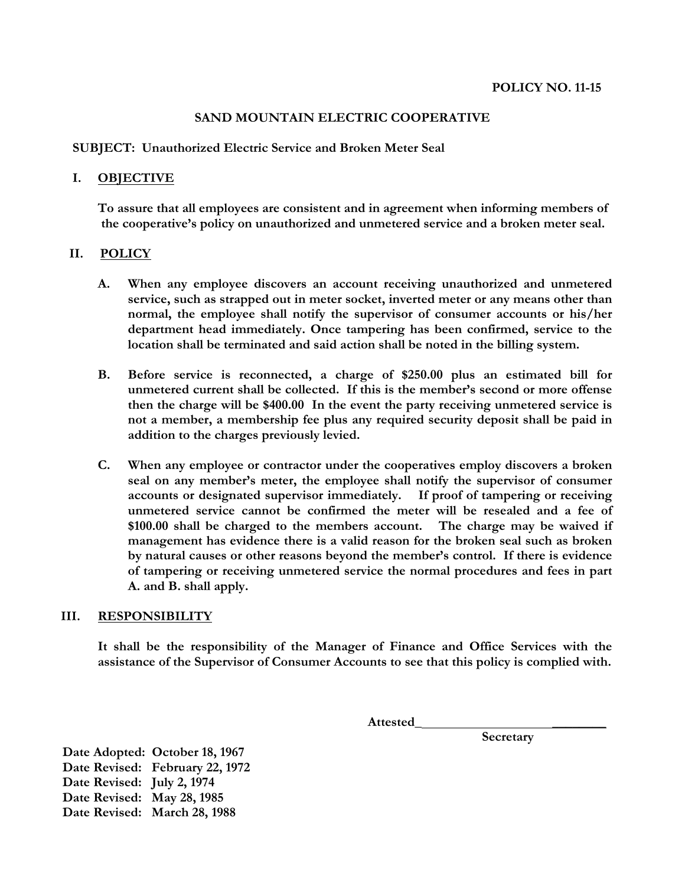## **SAND MOUNTAIN ELECTRIC COOPERATIVE**

**SUBJECT: Unauthorized Electric Service and Broken Meter Seal**

## **I. OBJECTIVE**

**To assure that all employees are consistent and in agreement when informing members of the cooperative's policy on unauthorized and unmetered service and a broken meter seal.**

## **II. POLICY**

- **A. When any employee discovers an account receiving unauthorized and unmetered service, such as strapped out in meter socket, inverted meter or any means other than normal, the employee shall notify the supervisor of consumer accounts or his/her department head immediately. Once tampering has been confirmed, service to the location shall be terminated and said action shall be noted in the billing system.**
- **B. Before service is reconnected, a charge of \$250.00 plus an estimated bill for unmetered current shall be collected. If this is the member's second or more offense then the charge will be \$400.00 In the event the party receiving unmetered service is not a member, a membership fee plus any required security deposit shall be paid in addition to the charges previously levied.**
- **C. When any employee or contractor under the cooperatives employ discovers a broken seal on any member's meter, the employee shall notify the supervisor of consumer accounts or designated supervisor immediately. If proof of tampering or receiving unmetered service cannot be confirmed the meter will be resealed and a fee of \$100.00 shall be charged to the members account. The charge may be waived if management has evidence there is a valid reason for the broken seal such as broken by natural causes or other reasons beyond the member's control. If there is evidence of tampering or receiving unmetered service the normal procedures and fees in part A. and B. shall apply.**

## **III. RESPONSIBILITY**

**It shall be the responsibility of the Manager of Finance and Office Services with the assistance of the Supervisor of Consumer Accounts to see that this policy is complied with.**

 **Attested\_ \_\_\_\_\_\_\_\_** 

**Secretary** 

**Date Adopted: October 18, 1967 Date Revised: February 22, 1972 Date Revised: July 2, 1974 Date Revised: May 28, 1985 Date Revised: March 28, 1988**